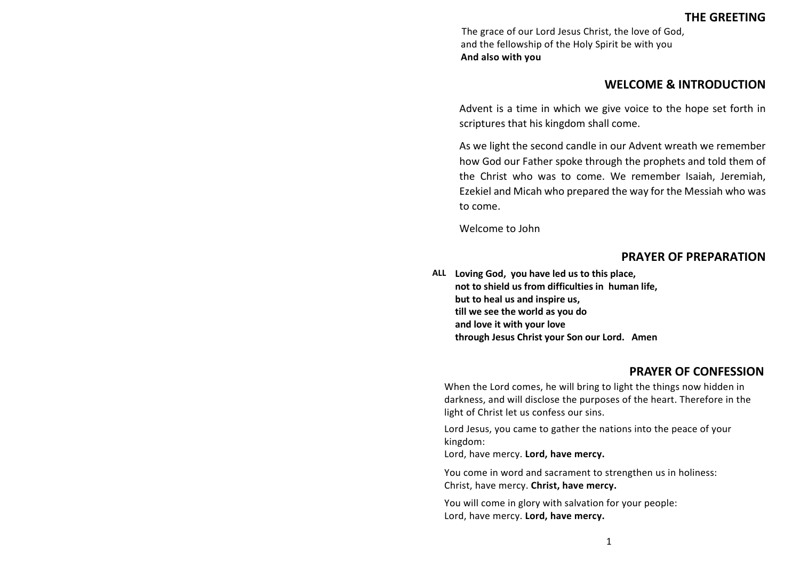# **THE GREETING**

The grace of our Lord Jesus Christ, the love of God, and the fellowship of the Holy Spirit be with you **And also with you**

### **WELCOME & INTRODUCTION**

Advent is a time in which we give voice to the hope set forth in scriptures that his kingdom shall come.

As we light the second candle in our Advent wreath we remember how God our Father spoke through the prophets and told them of the Christ who was to come. We remember Isaiah, Jeremiah, Ezekiel and Micah who prepared the way for the Messiah who was to come.

Welcome to John

### **PRAYER OF PREPARATION**

**ALL Loving God, you have led us to this place, not to shield us from difficulties in human life, but to heal us and inspire us, till we see the world as you do and love it with your love through Jesus Christ your Son our Lord. Amen**

## **PRAYER OF CONFESSION**

When the Lord comes, he will bring to light the things now hidden in darkness, and will disclose the purposes of the heart. Therefore in the light of Christ let us confess our sins.

Lord Jesus, you came to gather the nations into the peace of your kingdom:

Lord, have mercy. **Lord, have mercy.**

You come in word and sacrament to strengthen us in holiness: Christ, have mercy. **Christ, have mercy.**

You will come in glory with salvation for your people: Lord, have mercy. **Lord, have mercy.**